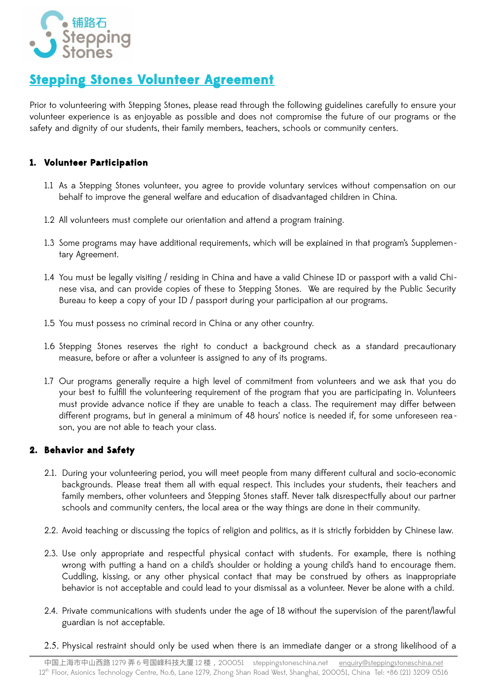

# **Stepping Stones Volunteer Agreement**

Prior to volunteering with Stepping Stones, please read through the following guidelines carefully to ensure your volunteer experience is as enjoyable as possible and does not compromise the future of our programs or the safety and dignity of our students, their family members, teachers, schools or community centers.

## **1. Volunteer Participation**

- 1.1 As a Stepping Stones volunteer, you agree to provide voluntary services without compensation on our behalf to improve the general welfare and education of disadvantaged children in China.
- 1.2 All volunteers must complete our orientation and attend a program training.
- 1.3 Some programs may have additional requirements, which will be explained in that program's Supplementary Agreement.
- 1.4 You must be legally visiting / residing in China and have a valid Chinese ID or passport with a valid Chinese visa, and can provide copies of these to Stepping Stones. We are required by the Public Security Bureau to keep a copy of your ID / passport during your participation at our programs.
- 1.5 You must possess no criminal record in China or any other country.
- 1.6 Stepping Stones reserves the right to conduct a background check as a standard precautionary measure, before or after a volunteer is assigned to any of its programs.
- 1.7 Our programs generally require a high level of commitment from volunteers and we ask that you do your best to fulfill the volunteering requirement of the program that you are participating in. Volunteers must provide advance notice if they are unable to teach a class. The requirement may differ between different programs, but in general a minimum of 48 hours' notice is needed if, for some unforeseen rea son, you are not able to teach your class.

#### **2. Behavior and Safety**

- 2.1. During your volunteering period, you will meet people from many different cultural and socio-economic backgrounds. Please treat them all with equal respect. This includes your students, their teachers and family members, other volunteers and Stepping Stones staff. Never talk disrespectfully about our partner schools and community centers, the local area or the way things are done in their community.
- 2.2. Avoid teaching or discussing the topics of religion and politics, as it is strictly forbidden by Chinese law.
- 2.3. Use only appropriate and respectful physical contact with students. For example, there is nothing wrong with putting a hand on a child's shoulder or holding a young child's hand to encourage them. Cuddling, kissing, or any other physical contact that may be construed by others as inappropriate behavior is not acceptable and could lead to your dismissal as a volunteer. Never be alone with a child.
- 2.4. Private communications with students under the age of 18 without the supervision of the parent/lawful guardian is not acceptable.
- 2.5. Physical restraint should only be used when there is an immediate danger or a strong likelihood of a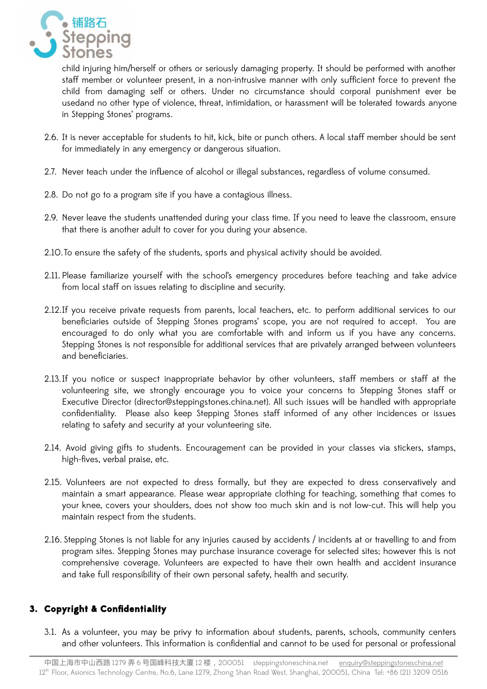

child injuring him/herself or others or seriously damaging property. It should be performed with another staff member or volunteer present, in a non-intrusive manner with only sufficient force to prevent the child from damaging self or others. Under no circumstance should corporal punishment ever be usedand no other type of violence, threat, intimidation, or harassment will be tolerated towards anyone in Stepping Stones' programs.

- 2.6. It is never acceptable for students to hit, kick, bite or punch others. A local staff member should be sent for immediately in any emergency or dangerous situation.
- 2.7. Never teach under the influence of alcohol or illegal substances, regardless of volume consumed.
- 2.8. Do not go to a program site if you have a contagious illness.
- 2.9. Never leave the students unattended during your class time. If you need to leave the classroom, ensure that there is another adult to cover for you during your absence.
- 2.10.To ensure the safety of the students, sports and physical activity should be avoided.
- 2.11. Please familiarize yourself with the school's emergency procedures before teaching and take advice from local staff on issues relating to discipline and security.
- 2.12.If you receive private requests from parents, local teachers, etc. to perform additional services to our beneficiaries outside of Stepping Stones programs' scope, you are not required to accept. You are encouraged to do only what you are comfortable with and inform us if you have any concerns. Stepping Stones is not responsible for additional services that are privately arranged between volunteers and beneficiaries.
- 2.13.If you notice or suspect inappropriate behavior by other volunteers, staff members or staff at the volunteering site, we strongly encourage you to voice your concerns to Stepping Stones staff or Executive Director (director@steppingstones.china.net). All such issues will be handled with appropriate confidentiality. Please also keep Stepping Stones staff informed of any other incidences or issues relating to safety and security at your volunteering site.
- 2.14. Avoid giving gifts to students. Encouragement can be provided in your classes via stickers, stamps, high-fives, verbal praise, etc.
- 2.15. Volunteers are not expected to dress formally, but they are expected to dress conservatively and maintain a smart appearance. Please wear appropriate clothing for teaching, something that comes to your knee, covers your shoulders, does not show too much skin and is not low-cut. This will help you maintain respect from the students.
- 2.16. Stepping Stones is not liable for any injuries caused by accidents / incidents at or travelling to and from program sites. Stepping Stones may purchase insurance coverage for selected sites; however this is not comprehensive coverage. Volunteers are expected to have their own health and accident insurance and take full responsibility of their own personal safety, health and security.

# **3. Copyright & Confidentiality**

3.1. As a volunteer, you may be privy to information about students, parents, schools, community centers and other volunteers. This information is confidential and cannot to be used for personal or professional